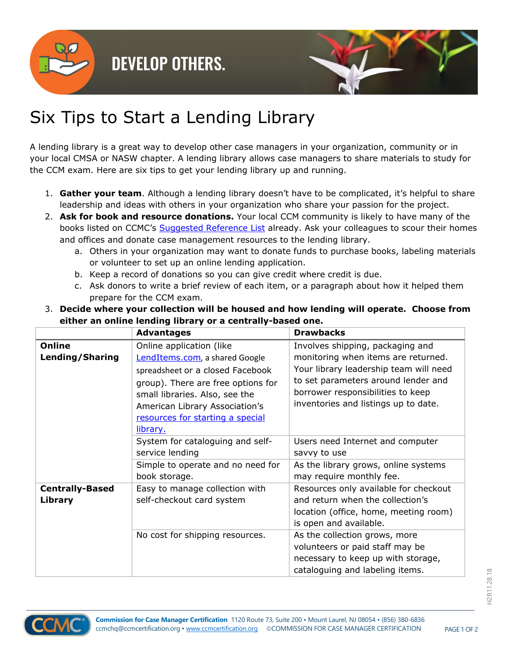

## **DEVELOP OTHERS.**



## Six Tips to Start a Lending Library

A lending library is a great way to develop other case managers in your organization, community or in your local CMSA or NASW chapter. A lending library allows case managers to share materials to study for the CCM exam. Here are six tips to get your lending library up and running.

- 1. **Gather your team**. Although a lending library doesn't have to be complicated, it's helpful to share leadership and ideas with others in your organization who share your passion for the project.
- 2. **Ask for book and resource donations.** Your local CCM community is likely to have many of the books listed on CCMC's [Suggested Reference List](https://ccmcertification.org/get-certified/exam-study-materials/suggested-reference-list) already. Ask your colleagues to scour their homes and offices and donate case management resources to the lending library.
	- a. Others in your organization may want to donate funds to purchase books, labeling materials or volunteer to set up an online lending application.
	- b. Keep a record of donations so you can give credit where credit is due.
	- c. Ask donors to write a brief review of each item, or a paragraph about how it helped them prepare for the CCM exam.

| 3. Decide where your collection will be housed and how lending will operate. Choose from |            |                  |  |  |
|------------------------------------------------------------------------------------------|------------|------------------|--|--|
| either an online lending library or a centrally-based one.                               |            |                  |  |  |
|                                                                                          | Advantages | <b>Drawbacks</b> |  |  |

|                                   | <b>Advantages</b>                                                                                                                                                                                                                                        | <b>Drawbacks</b>                                                                                                                                                                                                                      |
|-----------------------------------|----------------------------------------------------------------------------------------------------------------------------------------------------------------------------------------------------------------------------------------------------------|---------------------------------------------------------------------------------------------------------------------------------------------------------------------------------------------------------------------------------------|
| <b>Online</b><br>Lending/Sharing  | Online application (like<br>LendItems.com, a shared Google<br>spreadsheet or a closed Facebook<br>group). There are free options for<br>small libraries. Also, see the<br>American Library Association's<br>resources for starting a special<br>library. | Involves shipping, packaging and<br>monitoring when items are returned.<br>Your library leadership team will need<br>to set parameters around lender and<br>borrower responsibilities to keep<br>inventories and listings up to date. |
|                                   | System for cataloguing and self-<br>service lending                                                                                                                                                                                                      | Users need Internet and computer<br>savvy to use                                                                                                                                                                                      |
|                                   | Simple to operate and no need for<br>book storage.                                                                                                                                                                                                       | As the library grows, online systems<br>may require monthly fee.                                                                                                                                                                      |
| <b>Centrally-Based</b><br>Library | Easy to manage collection with<br>self-checkout card system                                                                                                                                                                                              | Resources only available for checkout<br>and return when the collection's<br>location (office, home, meeting room)<br>is open and available.                                                                                          |
|                                   | No cost for shipping resources.                                                                                                                                                                                                                          | As the collection grows, more<br>volunteers or paid staff may be<br>necessary to keep up with storage,<br>cataloguing and labeling items.                                                                                             |